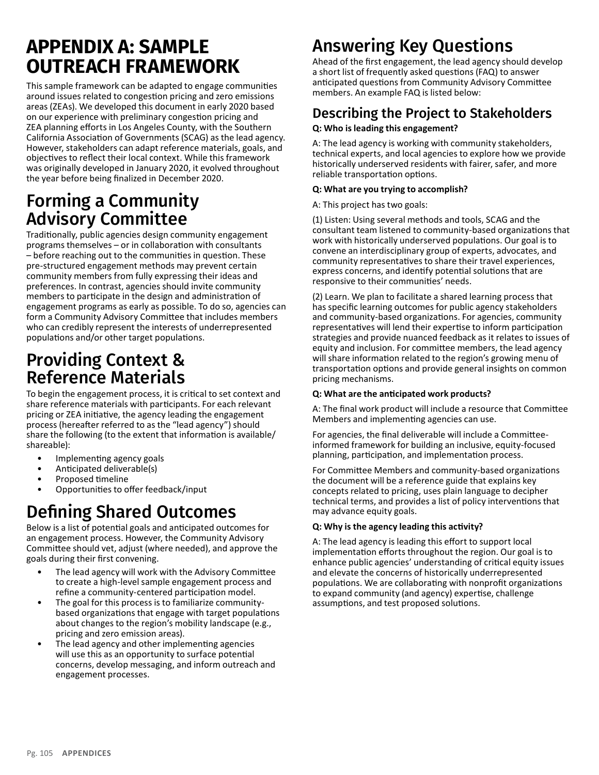# **APPENDIX A: SAMPLE OUTREACH FRAMEWORK**

This sample framework can be adapted to engage communities around issues related to congestion pricing and zero emissions areas (ZEAs). We developed this document in early 2020 based on our experience with preliminary congestion pricing and ZEA planning efforts in Los Angeles County, with the Southern California Association of Governments (SCAG) as the lead agency. However, stakeholders can adapt reference materials, goals, and objectives to reflect their local context. While this framework was originally developed in January 2020, it evolved throughout the year before being finalized in December 2020.

## Forming a Community Advisory Committee

Traditionally, public agencies design community engagement programs themselves – or in collaboration with consultants – before reaching out to the communities in question. These pre-structured engagement methods may prevent certain community members from fully expressing their ideas and preferences. In contrast, agencies should invite community members to participate in the design and administration of engagement programs as early as possible. To do so, agencies can form a Community Advisory Committee that includes members who can credibly represent the interests of underrepresented populations and/or other target populations.

# Providing Context & Reference Materials

To begin the engagement process, it is critical to set context and share reference materials with participants. For each relevant pricing or ZEA initiative, the agency leading the engagement process (hereafter referred to as the "lead agency") should share the following (to the extent that information is available/ shareable):

- Implementing agency goals
- Anticipated deliverable(s)
- Proposed timeline
- Opportunities to offer feedback/input

# Defining Shared Outcomes

Below is a list of potential goals and anticipated outcomes for an engagement process. However, the Community Advisory Committee should vet, adjust (where needed), and approve the goals during their first convening.

- The lead agency will work with the Advisory Committee to create a high-level sample engagement process and refine a community-centered participation model.
- The goal for this process is to familiarize communitybased organizations that engage with target populations about changes to the region's mobility landscape (e.g., pricing and zero emission areas).
- The lead agency and other implementing agencies will use this as an opportunity to surface potential concerns, develop messaging, and inform outreach and engagement processes.

# Answering Key Questions

Ahead of the first engagement, the lead agency should develop a short list of frequently asked questions (FAQ) to answer anticipated questions from Community Advisory Committee members. An example FAQ is listed below:

#### Describing the Project to Stakeholders **Q: Who is leading this engagement?**

A: The lead agency is working with community stakeholders, technical experts, and local agencies to explore how we provide historically underserved residents with fairer, safer, and more reliable transportation options.

#### **Q: What are you trying to accomplish?**

A: This project has two goals:

(1) Listen: Using several methods and tools, SCAG and the consultant team listened to community-based organizations that work with historically underserved populations. Our goal is to convene an interdisciplinary group of experts, advocates, and community representatives to share their travel experiences, express concerns, and identify potential solutions that are responsive to their communities' needs.

(2) Learn. We plan to facilitate a shared learning process that has specific learning outcomes for public agency stakeholders and community-based organizations. For agencies, community representatives will lend their expertise to inform participation strategies and provide nuanced feedback as it relates to issues of equity and inclusion. For committee members, the lead agency will share information related to the region's growing menu of transportation options and provide general insights on common pricing mechanisms.

#### **Q: What are the anticipated work products?**

A: The final work product will include a resource that Committee Members and implementing agencies can use.

For agencies, the final deliverable will include a Committeeinformed framework for building an inclusive, equity-focused planning, participation, and implementation process.

For Committee Members and community-based organizations the document will be a reference guide that explains key concepts related to pricing, uses plain language to decipher technical terms, and provides a list of policy interventions that may advance equity goals.

#### **Q: Why is the agency leading this activity?**

A: The lead agency is leading this effort to support local implementation efforts throughout the region. Our goal is to enhance public agencies' understanding of critical equity issues and elevate the concerns of historically underrepresented populations. We are collaborating with nonprofit organizations to expand community (and agency) expertise, challenge assumptions, and test proposed solutions.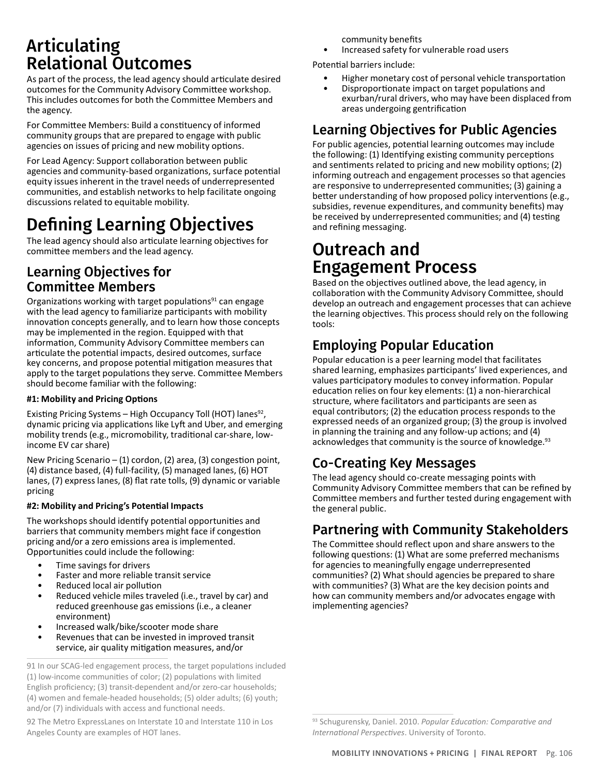# Articulating Relational Outcomes

As part of the process, the lead agency should articulate desired outcomes for the Community Advisory Committee workshop. This includes outcomes for both the Committee Members and the agency.

For Committee Members: Build a constituency of informed community groups that are prepared to engage with public agencies on issues of pricing and new mobility options.

For Lead Agency: Support collaboration between public agencies and community-based organizations, surface potential equity issues inherent in the travel needs of underrepresented communities, and establish networks to help facilitate ongoing discussions related to equitable mobility.

# Defining Learning Objectives

The lead agency should also articulate learning objectives for committee members and the lead agency.

### Learning Objectives for Committee Members

Organizations working with target populations $91$  can engage with the lead agency to familiarize participants with mobility innovation concepts generally, and to learn how those concepts may be implemented in the region. Equipped with that information, Community Advisory Committee members can articulate the potential impacts, desired outcomes, surface key concerns, and propose potential mitigation measures that apply to the target populations they serve. Committee Members should become familiar with the following:

#### **#1: Mobility and Pricing Options**

Existing Pricing Systems - High Occupancy Toll (HOT) lanes<sup>92</sup>, dynamic pricing via applications like Lyft and Uber, and emerging mobility trends (e.g., micromobility, traditional car-share, lowincome EV car share)

New Pricing Scenario – (1) cordon, (2) area, (3) congestion point, (4) distance based, (4) full-facility, (5) managed lanes, (6) HOT lanes, (7) express lanes, (8) flat rate tolls, (9) dynamic or variable pricing

#### **#2: Mobility and Pricing's Potential Impacts**

The workshops should identify potential opportunities and barriers that community members might face if congestion pricing and/or a zero emissions area is implemented. Opportunities could include the following:

- Time savings for drivers
- Faster and more reliable transit service
- Reduced local air pollution
- Reduced vehicle miles traveled (i.e., travel by car) and reduced greenhouse gas emissions (i.e., a cleaner environment)
- Increased walk/bike/scooter mode share
- Revenues that can be invested in improved transit service, air quality mitigation measures, and/or

92 The Metro ExpressLanes on Interstate 10 and Interstate 110 in Los Angeles County are examples of HOT lanes.

community benefits

• Increased safety for vulnerable road users

Potential barriers include:

- Higher monetary cost of personal vehicle transportation
- Disproportionate impact on target populations and exurban/rural drivers, who may have been displaced from areas undergoing gentrification

### Learning Objectives for Public Agencies

For public agencies, potential learning outcomes may include the following: (1) Identifying existing community perceptions and sentiments related to pricing and new mobility options; (2) informing outreach and engagement processes so that agencies are responsive to underrepresented communities; (3) gaining a better understanding of how proposed policy interventions (e.g., subsidies, revenue expenditures, and community benefits) may be received by underrepresented communities; and (4) testing and refining messaging.

## Outreach and Engagement Process

Based on the objectives outlined above, the lead agency, in collaboration with the Community Advisory Committee, should develop an outreach and engagement processes that can achieve the learning objectives. This process should rely on the following tools:

### Employing Popular Education

Popular education is a peer learning model that facilitates shared learning, emphasizes participants' lived experiences, and values participatory modules to convey information. Popular education relies on four key elements: (1) a non-hierarchical structure, where facilitators and participants are seen as equal contributors; (2) the education process responds to the expressed needs of an organized group; (3) the group is involved in planning the training and any follow-up actions; and (4) acknowledges that community is the source of knowledge.<sup>93</sup>

### Co-Creating Key Messages

The lead agency should co-create messaging points with Community Advisory Committee members that can be refined by Committee members and further tested during engagement with the general public.

### Partnering with Community Stakeholders

The Committee should reflect upon and share answers to the following questions: (1) What are some preferred mechanisms for agencies to meaningfully engage underrepresented communities? (2) What should agencies be prepared to share with communities? (3) What are the key decision points and how can community members and/or advocates engage with implementing agencies?

<sup>91</sup> In our SCAG-led engagement process, the target populations included (1) low-income communities of color; (2) populations with limited English proficiency; (3) transit-dependent and/or zero-car households; (4) women and female-headed households; (5) older adults; (6) youth; and/or (7) individuals with access and functional needs.

<sup>93</sup> Schugurensky, Daniel. 2010. *Popular Education: Comparative and International Perspectives*. University of Toronto.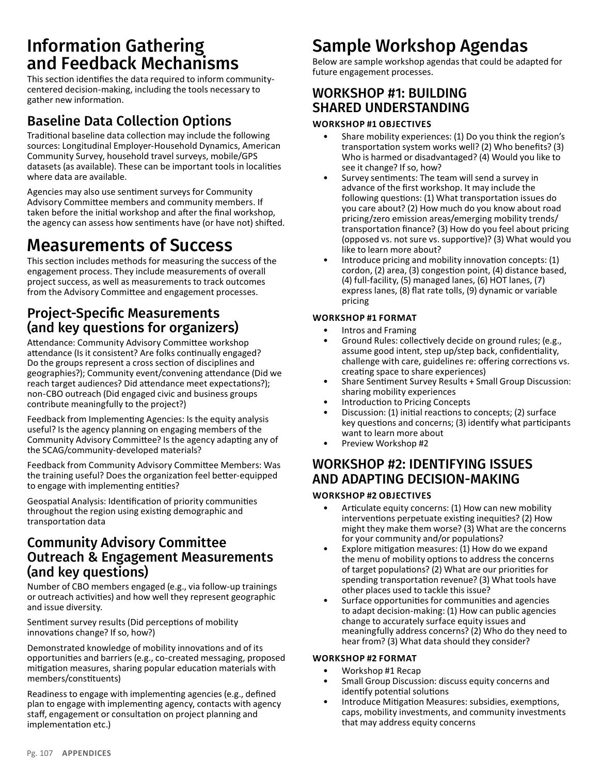## Information Gathering and Feedback Mechanisms

This section identifies the data required to inform communitycentered decision-making, including the tools necessary to gather new information.

### Baseline Data Collection Options

Traditional baseline data collection may include the following sources: Longitudinal Employer-Household Dynamics, American Community Survey, household travel surveys, mobile/GPS datasets (as available). These can be important tools in localities where data are available.

Agencies may also use sentiment surveys for Community Advisory Committee members and community members. If taken before the initial workshop and after the final workshop, the agency can assess how sentiments have (or have not) shifted.

## Measurements of Success

This section includes methods for measuring the success of the engagement process. They include measurements of overall project success, as well as measurements to track outcomes from the Advisory Committee and engagement processes.

### Project-Specific Measurements (and key questions for organizers)

Attendance: Community Advisory Committee workshop attendance (Is it consistent? Are folks continually engaged? Do the groups represent a cross section of disciplines and geographies?); Community event/convening attendance (Did we reach target audiences? Did attendance meet expectations?); non-CBO outreach (Did engaged civic and business groups contribute meaningfully to the project?)

Feedback from Implementing Agencies: Is the equity analysis useful? Is the agency planning on engaging members of the Community Advisory Committee? Is the agency adapting any of the SCAG/community-developed materials?

Feedback from Community Advisory Committee Members: Was the training useful? Does the organization feel better-equipped to engage with implementing entities?

Geospatial Analysis: Identification of priority communities throughout the region using existing demographic and transportation data

### Community Advisory Committee Outreach & Engagement Measurements (and key questions)

Number of CBO members engaged (e.g., via follow-up trainings or outreach activities) and how well they represent geographic and issue diversity.

Sentiment survey results (Did perceptions of mobility innovations change? If so, how?)

Demonstrated knowledge of mobility innovations and of its opportunities and barriers (e.g., co-created messaging, proposed mitigation measures, sharing popular education materials with members/constituents)

Readiness to engage with implementing agencies (e.g., defined plan to engage with implementing agency, contacts with agency staff, engagement or consultation on project planning and implementation etc.)

# Sample Workshop Agendas

Below are sample workshop agendas that could be adapted for future engagement processes.

### WORKSHOP #1: BUILDING SHARED UNDERSTANDING

#### **WORKSHOP #1 OBJECTIVES**

- Share mobility experiences: (1) Do you think the region's transportation system works well? (2) Who benefits? (3) Who is harmed or disadvantaged? (4) Would you like to see it change? If so, how?
- Survey sentiments: The team will send a survey in advance of the first workshop. It may include the following questions: (1) What transportation issues do you care about? (2) How much do you know about road pricing/zero emission areas/emerging mobility trends/ transportation finance? (3) How do you feel about pricing (opposed vs. not sure vs. supportive)? (3) What would you like to learn more about?
- Introduce pricing and mobility innovation concepts: (1) cordon, (2) area, (3) congestion point, (4) distance based, (4) full-facility, (5) managed lanes, (6) HOT lanes, (7) express lanes, (8) flat rate tolls, (9) dynamic or variable pricing

#### **WORKSHOP #1 FORMAT**

- Intros and Framing
- Ground Rules: collectively decide on ground rules; (e.g., assume good intent, step up/step back, confidentiality, challenge with care, guidelines re: offering corrections vs. creating space to share experiences)
- Share Sentiment Survey Results + Small Group Discussion: sharing mobility experiences
- Introduction to Pricing Concepts
- Discussion: (1) initial reactions to concepts; (2) surface key questions and concerns; (3) identify what participants want to learn more about
- Preview Workshop #2

### WORKSHOP #2: IDENTIFYING ISSUES AND ADAPTING DECISION-MAKING

#### **WORKSHOP #2 OBJECTIVES**

- Articulate equity concerns: (1) How can new mobility interventions perpetuate existing inequities? (2) How might they make them worse? (3) What are the concerns for your community and/or populations?
- Explore mitigation measures: (1) How do we expand the menu of mobility options to address the concerns of target populations? (2) What are our priorities for spending transportation revenue? (3) What tools have other places used to tackle this issue?
- Surface opportunities for communities and agencies to adapt decision-making: (1) How can public agencies change to accurately surface equity issues and meaningfully address concerns? (2) Who do they need to hear from? (3) What data should they consider?

#### **WORKSHOP #2 FORMAT**

- Workshop #1 Recap
- Small Group Discussion: discuss equity concerns and identify potential solutions
- Introduce Mitigation Measures: subsidies, exemptions, caps, mobility investments, and community investments that may address equity concerns